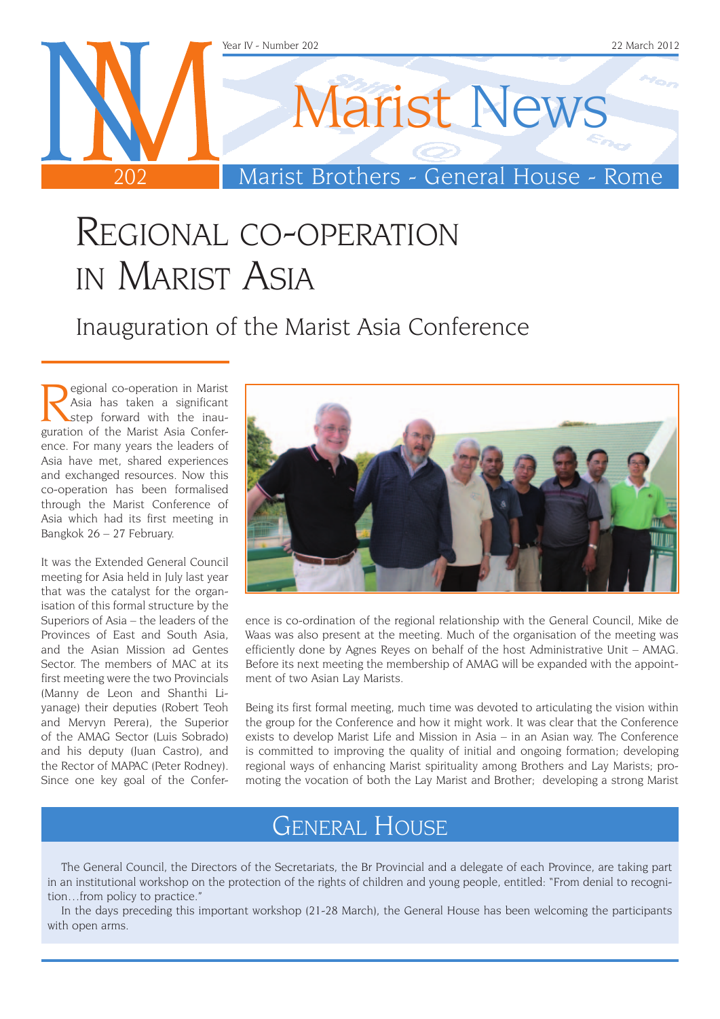

### Regional co-operation in Marist Asia

Inauguration of the Marist Asia Conference

Regional co-operation in Marist<br>Asia has taken a significant<br>step forward with the inau-<br>suration of the Marist Asia Confer-Asia has taken a significant guration of the Marist Asia Conference. For many years the leaders of Asia have met, shared experiences and exchanged resources. Now this co-operation has been formalised through the Marist Conference of Asia which had its first meeting in Bangkok 26 – 27 February.

It was the Extended General Council meeting for Asia held in July last year that was the catalyst for the organisation of this formal structure by the Superiors of Asia – the leaders of the Provinces of East and South Asia, and the Asian Mission ad Gentes Sector. The members of MAC at its first meeting were the two Provincials (Manny de Leon and Shanthi Liyanage) their deputies (Robert Teoh and Mervyn Perera), the Superior of the AMAG Sector (Luis Sobrado) and his deputy (Juan Castro), and the Rector of MAPAC (Peter Rodney). Since one key goal of the Confer-



ence is co-ordination of the regional relationship with the General Council, Mike de Waas was also present at the meeting. Much of the organisation of the meeting was efficiently done by Agnes Reyes on behalf of the host Administrative Unit – AMAG. Before its next meeting the membership of AMAG will be expanded with the appointment of two Asian Lay Marists.

Being its first formal meeting, much time was devoted to articulating the vision within the group for the Conference and how it might work. It was clear that the Conference exists to develop Marist Life and Mission in Asia – in an Asian way. The Conference is committed to improving the quality of initial and ongoing formation; developing regional ways of enhancing Marist spirituality among Brothers and Lay Marists; promoting the vocation of both the Lay Marist and Brother; developing a strong Marist

### General House

The General Council, the Directors of the Secretariats, the Br Provincial and a delegate of each Province, are taking part in an institutional workshop on the protection of the rights of children and young people, entitled: "From denial to recognition…from policy to practice."

In the days preceding this important workshop (21-28 March), the General House has been welcoming the participants with open arms.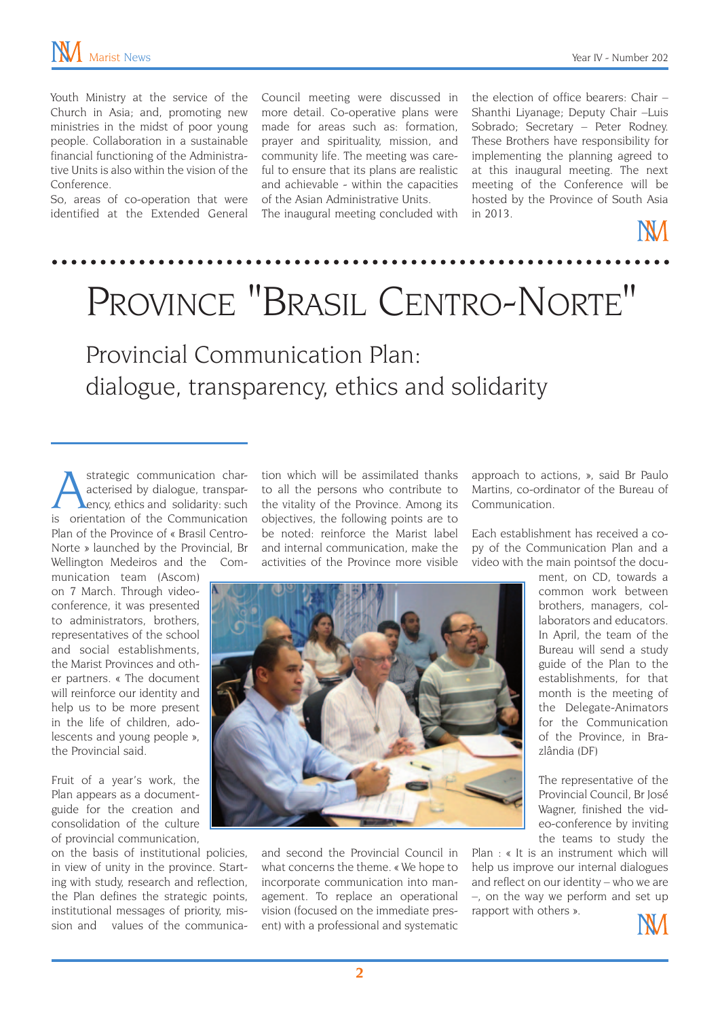Youth Ministry at the service of the Church in Asia; and, promoting new ministries in the midst of poor young people. Collaboration in a sustainable financial functioning of the Administrative Units is also within the vision of the Conference.

So, areas of co-operation that were identified at the Extended General Council meeting were discussed in more detail. Co-operative plans were made for areas such as: formation, prayer and spirituality, mission, and community life. The meeting was careful to ensure that its plans are realistic and achievable - within the capacities of the Asian Administrative Units.

The inaugural meeting concluded with

the election of office bearers: Chair – Shanthi Liyanage; Deputy Chair –Luis Sobrado; Secretary – Peter Rodney. These Brothers have responsibility for implementing the planning agreed to at this inaugural meeting. The next meeting of the Conference will be hosted by the Province of South Asia in 2013.



# Province "Brasil Centro-Norte"

Provincial Communication Plan: dialogue, transparency, ethics and solidarity

strategic communication characterised by dialogue, transpar-<br>ency, ethics and solidarity: such<br>is orientation of the Communication acterised by dialogue, transparency, ethics and solidarity: such is orientation of the Communication Plan of the Province of « Brasil Centro-Norte » launched by the Provincial, Br Wellington Medeiros and the Com-

munication team (Ascom) on 7 March. Through videoconference, it was presented to administrators, brothers, representatives of the school and social establishments, the Marist Provinces and other partners. « The document will reinforce our identity and help us to be more present in the life of children, adolescents and young people », the Provincial said.

Fruit of a year's work, the Plan appears as a documentguide for the creation and consolidation of the culture of provincial communication,

on the basis of institutional policies, in view of unity in the province. Starting with study, research and reflection, the Plan defines the strategic points, institutional messages of priority, mission and values of the communication which will be assimilated thanks to all the persons who contribute to the vitality of the Province. Among its objectives, the following points are to be noted: reinforce the Marist label and internal communication, make the activities of the Province more visible approach to actions, », said Br Paulo Martins, co-ordinator of the Bureau of Communication.

Each establishment has received a copy of the Communication Plan and a video with the main pointsof the docu-



and second the Provincial Council in what concerns the theme. « We hope to incorporate communication into management. To replace an operational vision (focused on the immediate present) with a professional and systematic ment, on CD, towards a common work between brothers, managers, collaborators and educators. In April, the team of the Bureau will send a study guide of the Plan to the establishments, for that month is the meeting of the Delegate-Animators for the Communication of the Province, in Brazlândia (DF)

The representative of the Provincial Council, Br José Wagner, finished the video-conference by inviting the teams to study the

Plan : « It is an instrument which will help us improve our internal dialogues and reflect on our identity – who we are –, on the way we perform and set up rapport with others ».

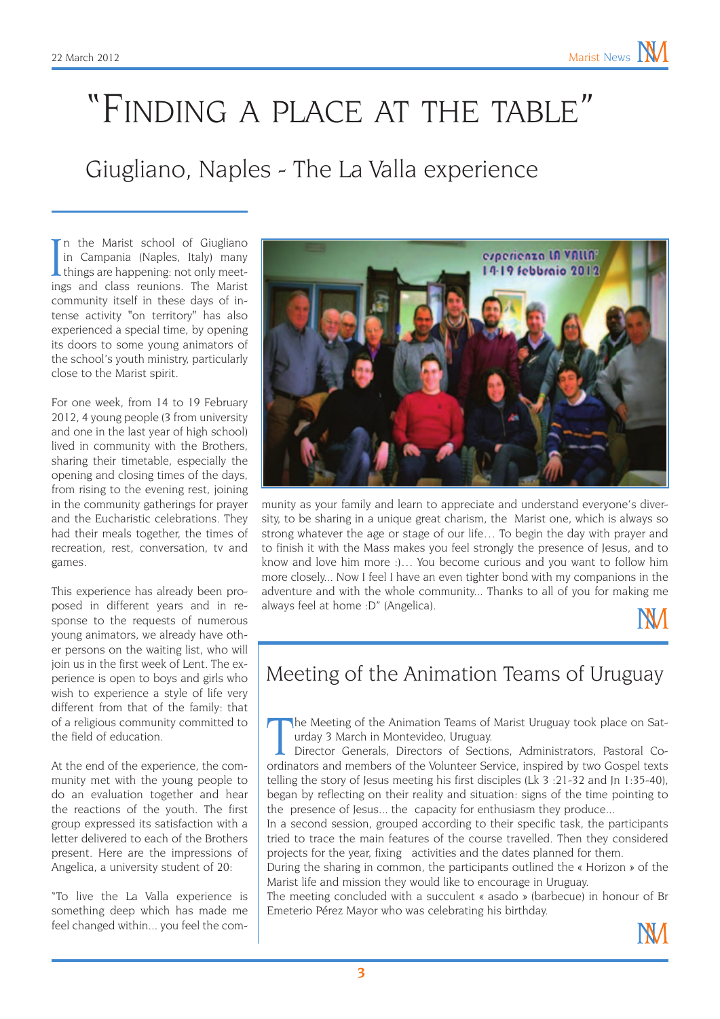# "Finding a place at the table"

### Giugliano, Naples - The La Valla experience

In the Marist school of Giugliano<br>in Campania (Naples, Italy) many<br>things are happening: not only meet-<br>ings and class reunions. The Marist n the Marist school of Giugliano in Campania (Naples, Italy) many things are happening: not only meetcommunity itself in these days of intense activity "on territory" has also experienced a special time, by opening its doors to some young animators of the school's youth ministry, particularly close to the Marist spirit.

For one week, from 14 to 19 February 2012, 4 young people (3 from university and one in the last year of high school) lived in community with the Brothers, sharing their timetable, especially the opening and closing times of the days, from rising to the evening rest, joining in the community gatherings for prayer and the Eucharistic celebrations. They had their meals together, the times of recreation, rest, conversation, tv and games.

This experience has already been proposed in different years and in response to the requests of numerous young animators, we already have other persons on the waiting list, who will join us in the first week of Lent. The experience is open to boys and girls who wish to experience a style of life very different from that of the family: that of a religious community committed to the field of education.

At the end of the experience, the community met with the young people to do an evaluation together and hear the reactions of the youth. The first group expressed its satisfaction with a letter delivered to each of the Brothers present. Here are the impressions of Angelica, a university student of 20:

"To live the La Valla experience is something deep which has made me feel changed within... you feel the com-



munity as your family and learn to appreciate and understand everyone's diversity, to be sharing in a unique great charism, the Marist one, which is always so strong whatever the age or stage of our life… To begin the day with prayer and to finish it with the Mass makes you feel strongly the presence of Jesus, and to know and love him more :)… You become curious and you want to follow him more closely... Now I feel I have an even tighter bond with my companions in the adventure and with the whole community... Thanks to all of you for making me always feel at home :D" (Angelica).



#### Meeting of the Animation Teams of Uruguay

The Meeting of the Animation Teams of Marist Uruguay took place on Saturday 3 March in Montevideo, Uruguay.<br>Director Generals, Directors of Sections, Administrators, Pastoral Coordinators and members of the Volunteer Servi he Meeting of the Animation Teams of Marist Uruguay took place on Saturday 3 March in Montevideo, Uruguay.

Director Generals, Directors of Sections, Administrators, Pastoral Cotelling the story of Jesus meeting his first disciples (Lk 3 :21-32 and Jn 1:35-40), began by reflecting on their reality and situation: signs of the time pointing to the presence of Jesus... the capacity for enthusiasm they produce...

In a second session, grouped according to their specific task, the participants tried to trace the main features of the course travelled. Then they considered projects for the year, fixing activities and the dates planned for them.

During the sharing in common, the participants outlined the « Horizon » of the Marist life and mission they would like to encourage in Uruguay.

The meeting concluded with a succulent « asado » (barbecue) in honour of Br Emeterio Pérez Mayor who was celebrating his birthday.